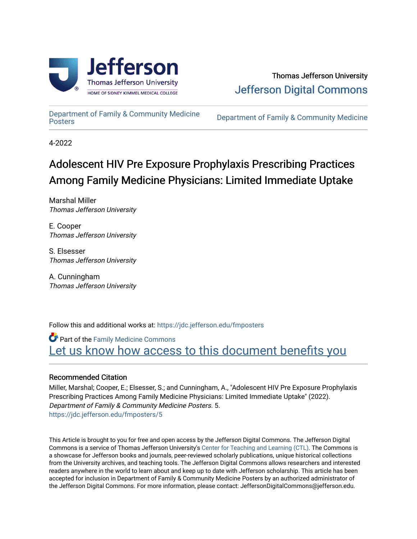

#### Thomas Jefferson University [Jefferson Digital Commons](https://jdc.jefferson.edu/)

[Department of Family & Community Medicine](https://jdc.jefferson.edu/fmposters)

Department of Family & Community Medicine

4-2022

#### Adolescent HIV Pre Exposure Prophylaxis Prescribing Practices Among Family Medicine Physicians: Limited Immediate Uptake

Marshal Miller Thomas Jefferson University

E. Cooper Thomas Jefferson University

S. Elsesser Thomas Jefferson University

A. Cunningham Thomas Jefferson University

Follow this and additional works at: [https://jdc.jefferson.edu/fmposters](https://jdc.jefferson.edu/fmposters?utm_source=jdc.jefferson.edu%2Ffmposters%2F5&utm_medium=PDF&utm_campaign=PDFCoverPages) 

Part of the [Family Medicine Commons](http://network.bepress.com/hgg/discipline/1354?utm_source=jdc.jefferson.edu%2Ffmposters%2F5&utm_medium=PDF&utm_campaign=PDFCoverPages)  [Let us know how access to this document benefits you](https://library.jefferson.edu/forms/jdc/index.cfm) 

#### Recommended Citation

Miller, Marshal; Cooper, E.; Elsesser, S.; and Cunningham, A., "Adolescent HIV Pre Exposure Prophylaxis Prescribing Practices Among Family Medicine Physicians: Limited Immediate Uptake" (2022). Department of Family & Community Medicine Posters. 5. [https://jdc.jefferson.edu/fmposters/5](https://jdc.jefferson.edu/fmposters/5?utm_source=jdc.jefferson.edu%2Ffmposters%2F5&utm_medium=PDF&utm_campaign=PDFCoverPages) 

This Article is brought to you for free and open access by the Jefferson Digital Commons. The Jefferson Digital Commons is a service of Thomas Jefferson University's [Center for Teaching and Learning \(CTL\)](http://www.jefferson.edu/university/teaching-learning.html/). The Commons is a showcase for Jefferson books and journals, peer-reviewed scholarly publications, unique historical collections from the University archives, and teaching tools. The Jefferson Digital Commons allows researchers and interested readers anywhere in the world to learn about and keep up to date with Jefferson scholarship. This article has been accepted for inclusion in Department of Family & Community Medicine Posters by an authorized administrator of the Jefferson Digital Commons. For more information, please contact: JeffersonDigitalCommons@jefferson.edu.